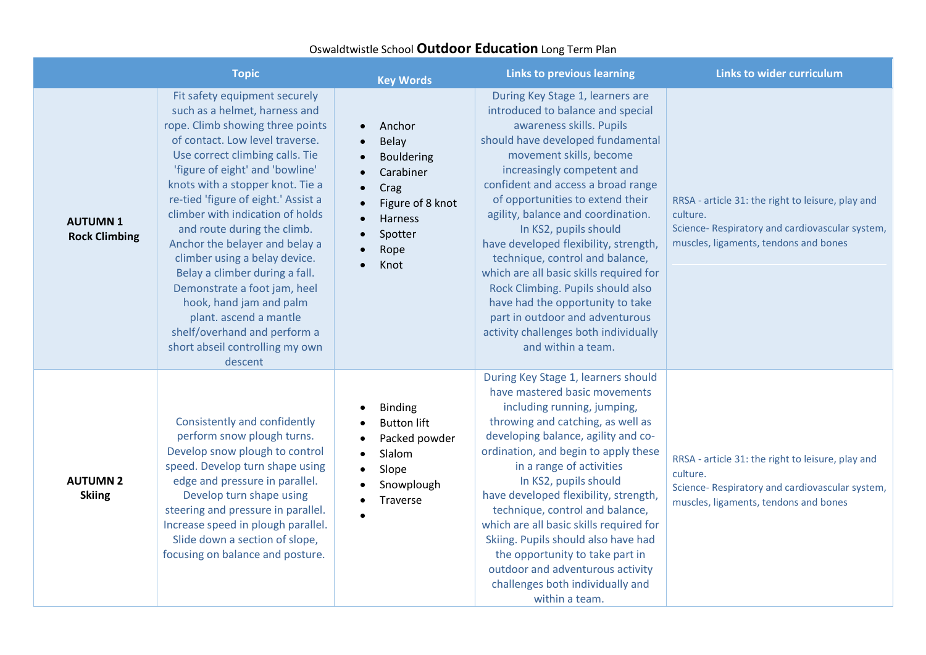## Oswaldtwistle School **Outdoor Education** Long Term Plan

|                                        | <b>Topic</b>                                                                                                                                                                                                                                                                                                                                                                                                                                                                                                                                                                                                                      | <b>Key Words</b>                                                                                                                                                                                  | <b>Links to previous learning</b>                                                                                                                                                                                                                                                                                                                                                                                                                                                                                                                                                                                                          | <b>Links to wider curriculum</b>                                                                                                                          |
|----------------------------------------|-----------------------------------------------------------------------------------------------------------------------------------------------------------------------------------------------------------------------------------------------------------------------------------------------------------------------------------------------------------------------------------------------------------------------------------------------------------------------------------------------------------------------------------------------------------------------------------------------------------------------------------|---------------------------------------------------------------------------------------------------------------------------------------------------------------------------------------------------|--------------------------------------------------------------------------------------------------------------------------------------------------------------------------------------------------------------------------------------------------------------------------------------------------------------------------------------------------------------------------------------------------------------------------------------------------------------------------------------------------------------------------------------------------------------------------------------------------------------------------------------------|-----------------------------------------------------------------------------------------------------------------------------------------------------------|
| <b>AUTUMN1</b><br><b>Rock Climbing</b> | Fit safety equipment securely<br>such as a helmet, harness and<br>rope. Climb showing three points<br>of contact. Low level traverse.<br>Use correct climbing calls. Tie<br>'figure of eight' and 'bowline'<br>knots with a stopper knot. Tie a<br>re-tied 'figure of eight.' Assist a<br>climber with indication of holds<br>and route during the climb.<br>Anchor the belayer and belay a<br>climber using a belay device.<br>Belay a climber during a fall.<br>Demonstrate a foot jam, heel<br>hook, hand jam and palm<br>plant. ascend a mantle<br>shelf/overhand and perform a<br>short abseil controlling my own<br>descent | Anchor<br>$\bullet$<br>Belay<br>$\bullet$<br><b>Bouldering</b><br>Carabiner<br>Crag<br>$\bullet$<br>Figure of 8 knot<br>Harness<br>$\bullet$<br>Spotter<br>$\bullet$<br>Rope<br>$\bullet$<br>Knot | During Key Stage 1, learners are<br>introduced to balance and special<br>awareness skills. Pupils<br>should have developed fundamental<br>movement skills, become<br>increasingly competent and<br>confident and access a broad range<br>of opportunities to extend their<br>agility, balance and coordination.<br>In KS2, pupils should<br>have developed flexibility, strength,<br>technique, control and balance,<br>which are all basic skills required for<br>Rock Climbing. Pupils should also<br>have had the opportunity to take<br>part in outdoor and adventurous<br>activity challenges both individually<br>and within a team. | RRSA - article 31: the right to leisure, play and<br>culture.<br>Science- Respiratory and cardiovascular system,<br>muscles, ligaments, tendons and bones |
| <b>AUTUMN 2</b><br><b>Skiing</b>       | Consistently and confidently<br>perform snow plough turns.<br>Develop snow plough to control<br>speed. Develop turn shape using<br>edge and pressure in parallel.<br>Develop turn shape using<br>steering and pressure in parallel.<br>Increase speed in plough parallel.<br>Slide down a section of slope,<br>focusing on balance and posture.                                                                                                                                                                                                                                                                                   | <b>Binding</b><br><b>Button lift</b><br>Packed powder<br>$\bullet$<br>Slalom<br>$\bullet$<br>Slope<br>$\bullet$<br>Snowplough<br>Traverse                                                         | During Key Stage 1, learners should<br>have mastered basic movements<br>including running, jumping,<br>throwing and catching, as well as<br>developing balance, agility and co-<br>ordination, and begin to apply these<br>in a range of activities<br>In KS2, pupils should<br>have developed flexibility, strength,<br>technique, control and balance,<br>which are all basic skills required for<br>Skiing. Pupils should also have had<br>the opportunity to take part in<br>outdoor and adventurous activity<br>challenges both individually and<br>within a team.                                                                    | RRSA - article 31: the right to leisure, play and<br>culture.<br>Science- Respiratory and cardiovascular system,<br>muscles, ligaments, tendons and bones |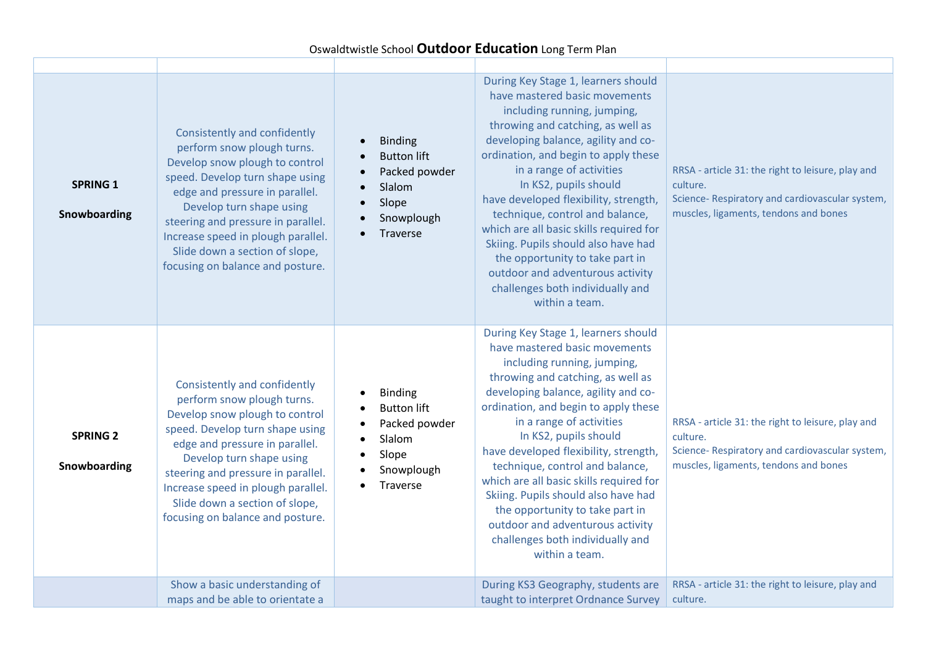## Oswaldtwistle School **Outdoor Education** Long Term Plan

| <b>SPRING 1</b><br>Snowboarding | Consistently and confidently<br>perform snow plough turns.<br>Develop snow plough to control<br>speed. Develop turn shape using<br>edge and pressure in parallel.<br>Develop turn shape using<br>steering and pressure in parallel.<br>Increase speed in plough parallel.<br>Slide down a section of slope,<br>focusing on balance and posture. | <b>Binding</b><br><b>Button lift</b><br>Packed powder<br>Slalom<br>Slope<br>Snowplough<br>Traverse | During Key Stage 1, learners should<br>have mastered basic movements<br>including running, jumping,<br>throwing and catching, as well as<br>developing balance, agility and co-<br>ordination, and begin to apply these<br>in a range of activities<br>In KS2, pupils should<br>have developed flexibility, strength,<br>technique, control and balance,<br>which are all basic skills required for<br>Skiing. Pupils should also have had<br>the opportunity to take part in<br>outdoor and adventurous activity<br>challenges both individually and<br>within a team. | RRSA - article 31: the right to leisure, play and<br>culture.<br>Science- Respiratory and cardiovascular system,<br>muscles, ligaments, tendons and bones |
|---------------------------------|-------------------------------------------------------------------------------------------------------------------------------------------------------------------------------------------------------------------------------------------------------------------------------------------------------------------------------------------------|----------------------------------------------------------------------------------------------------|-------------------------------------------------------------------------------------------------------------------------------------------------------------------------------------------------------------------------------------------------------------------------------------------------------------------------------------------------------------------------------------------------------------------------------------------------------------------------------------------------------------------------------------------------------------------------|-----------------------------------------------------------------------------------------------------------------------------------------------------------|
| <b>SPRING 2</b><br>Snowboarding | Consistently and confidently<br>perform snow plough turns.<br>Develop snow plough to control<br>speed. Develop turn shape using<br>edge and pressure in parallel.<br>Develop turn shape using<br>steering and pressure in parallel.<br>Increase speed in plough parallel.<br>Slide down a section of slope,<br>focusing on balance and posture. | <b>Binding</b><br><b>Button lift</b><br>Packed powder<br>Slalom<br>Slope<br>Snowplough<br>Traverse | During Key Stage 1, learners should<br>have mastered basic movements<br>including running, jumping,<br>throwing and catching, as well as<br>developing balance, agility and co-<br>ordination, and begin to apply these<br>in a range of activities<br>In KS2, pupils should<br>have developed flexibility, strength,<br>technique, control and balance,<br>which are all basic skills required for<br>Skiing. Pupils should also have had<br>the opportunity to take part in<br>outdoor and adventurous activity<br>challenges both individually and<br>within a team. | RRSA - article 31: the right to leisure, play and<br>culture.<br>Science- Respiratory and cardiovascular system,<br>muscles, ligaments, tendons and bones |
|                                 | Show a basic understanding of<br>maps and be able to orientate a                                                                                                                                                                                                                                                                                |                                                                                                    | During KS3 Geography, students are<br>taught to interpret Ordnance Survey                                                                                                                                                                                                                                                                                                                                                                                                                                                                                               | RRSA - article 31: the right to leisure, play and<br>culture.                                                                                             |